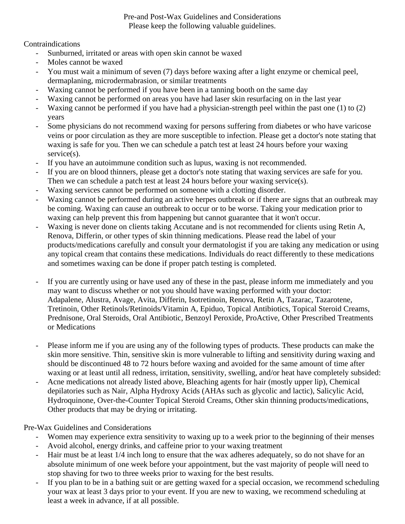### Pre-and Post-Wax Guidelines and Considerations Please keep the following valuable guidelines.

## Contraindications

- Sunburned, irritated or areas with open skin cannot be waxed
- Moles cannot be waxed
- You must wait a minimum of seven (7) days before waxing after a light enzyme or chemical peel, dermaplaning, microdermabrasion, or similar treatments
- Waxing cannot be performed if you have been in a tanning booth on the same day
- Waxing cannot be performed on areas you have had laser skin resurfacing on in the last year
- Waxing cannot be performed if you have had a physician-strength peel within the past one (1) to (2) years
- Some physicians do not recommend waxing for persons suffering from diabetes or who have varicose veins or poor circulation as they are more susceptible to infection. Please get a doctor's note stating that waxing is safe for you. Then we can schedule a patch test at least 24 hours before your waxing service(s).
- If you have an autoimmune condition such as lupus, waxing is not recommended.
- If you are on blood thinners, please get a doctor's note stating that waxing services are safe for you. Then we can schedule a patch test at least 24 hours before your waxing service(s).
- Waxing services cannot be performed on someone with a clotting disorder.
- Waxing cannot be performed during an active herpes outbreak or if there are signs that an outbreak may be coming. Waxing can cause an outbreak to occur or to be worse. Taking your medication prior to waxing can help prevent this from happening but cannot guarantee that it won't occur.
- Waxing is never done on clients taking Accutane and is not recommended for clients using Retin A, Renova, Differin, or other types of skin thinning medications. Please read the label of your products/medications carefully and consult your dermatologist if you are taking any medication or using any topical cream that contains these medications. Individuals do react differently to these medications and sometimes waxing can be done if proper patch testing is completed.
- If you are currently using or have used any of these in the past, please inform me immediately and you may want to discuss whether or not you should have waxing performed with your doctor: Adapalene, Alustra, Avage, Avita, Differin, Isotretinoin, Renova, Retin A, Tazarac, Tazarotene, Tretinoin, Other Retinols/Retinoids/Vitamin A, Epiduo, Topical Antibiotics, Topical Steroid Creams, Prednisone, Oral Steroids, Oral Antibiotic, Benzoyl Peroxide, ProActive, Other Prescribed Treatments or Medications
- Please inform me if you are using any of the following types of products. These products can make the skin more sensitive. Thin, sensitive skin is more vulnerable to lifting and sensitivity during waxing and should be discontinued 48 to 72 hours before waxing and avoided for the same amount of time after waxing or at least until all redness, irritation, sensitivity, swelling, and/or heat have completely subsided:
- Acne medications not already listed above, Bleaching agents for hair (mostly upper lip), Chemical depilatories such as Nair, Alpha Hydroxy Acids (AHAs such as glycolic and lactic), Salicylic Acid, Hydroquinone, Over-the-Counter Topical Steroid Creams, Other skin thinning products/medications, Other products that may be drying or irritating.

Pre-Wax Guidelines and Considerations

- Women may experience extra sensitivity to waxing up to a week prior to the beginning of their menses
- Avoid alcohol, energy drinks, and caffeine prior to your waxing treatment
- Hair must be at least  $1/4$  inch long to ensure that the wax adheres adequately, so do not shave for an absolute minimum of one week before your appointment, but the vast majority of people will need to stop shaving for two to three weeks prior to waxing for the best results.
- If you plan to be in a bathing suit or are getting waxed for a special occasion, we recommend scheduling your wax at least 3 days prior to your event. If you are new to waxing, we recommend scheduling at least a week in advance, if at all possible.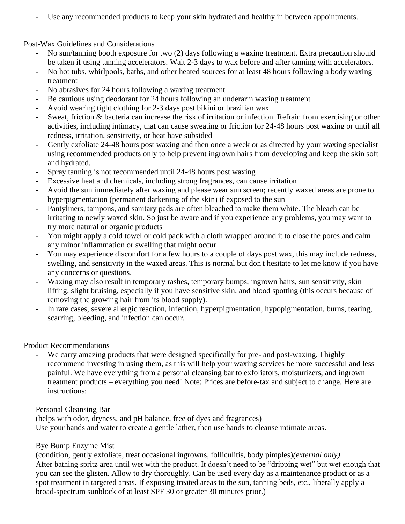Use any recommended products to keep your skin hydrated and healthy in between appointments.

Post-Wax Guidelines and Considerations

- No sun/tanning booth exposure for two (2) days following a waxing treatment. Extra precaution should be taken if using tanning accelerators. Wait 2-3 days to wax before and after tanning with accelerators.
- No hot tubs, whirlpools, baths, and other heated sources for at least 48 hours following a body waxing treatment
- No abrasives for 24 hours following a waxing treatment
- Be cautious using deodorant for 24 hours following an underarm waxing treatment
- Avoid wearing tight clothing for 2-3 days post bikini or brazilian wax.
- Sweat, friction & bacteria can increase the risk of irritation or infection. Refrain from exercising or other activities, including intimacy, that can cause sweating or friction for 24-48 hours post waxing or until all redness, irritation, sensitivity, or heat have subsided
- Gently exfoliate 24-48 hours post waxing and then once a week or as directed by your waxing specialist using recommended products only to help prevent ingrown hairs from developing and keep the skin soft and hydrated.
- Spray tanning is not recommended until 24-48 hours post waxing
- Excessive heat and chemicals, including strong fragrances, can cause irritation
- Avoid the sun immediately after waxing and please wear sun screen; recently waxed areas are prone to hyperpigmentation (permanent darkening of the skin) if exposed to the sun
- Pantyliners, tampons, and sanitary pads are often bleached to make them white. The bleach can be irritating to newly waxed skin. So just be aware and if you experience any problems, you may want to try more natural or organic products
- You might apply a cold towel or cold pack with a cloth wrapped around it to close the pores and calm any minor inflammation or swelling that might occur
- You may experience discomfort for a few hours to a couple of days post wax, this may include redness, swelling, and sensitivity in the waxed areas. This is normal but don't hesitate to let me know if you have any concerns or questions.
- Waxing may also result in temporary rashes, temporary bumps, ingrown hairs, sun sensitivity, skin lifting, slight bruising, especially if you have sensitive skin, and blood spotting (this occurs because of removing the growing hair from its blood supply).
- In rare cases, severe allergic reaction, infection, hyperpigmentation, hypopigmentation, burns, tearing, scarring, bleeding, and infection can occur.

# Product Recommendations

We carry amazing products that were designed specifically for pre- and post-waxing. I highly recommend investing in using them, as this will help your waxing services be more successful and less painful. We have everything from a personal cleansing bar to exfoliators, moisturizers, and ingrown treatment products – everything you need! Note: Prices are before-tax and subject to change. Here are instructions:

## Personal Cleansing Bar

(helps with odor, dryness, and pH balance, free of dyes and fragrances) Use your hands and water to create a gentle lather, then use hands to cleanse intimate areas.

# Bye Bump Enzyme Mist

(condition, gently exfoliate, treat occasional ingrowns, folliculitis, body pimples)*(external only)* After bathing spritz area until wet with the product. It doesn't need to be "dripping wet" but wet enough that you can see the glisten. Allow to dry thoroughly. Can be used every day as a maintenance product or as a spot treatment in targeted areas. If exposing treated areas to the sun, tanning beds, etc., liberally apply a broad-spectrum sunblock of at least SPF 30 or greater 30 minutes prior.)